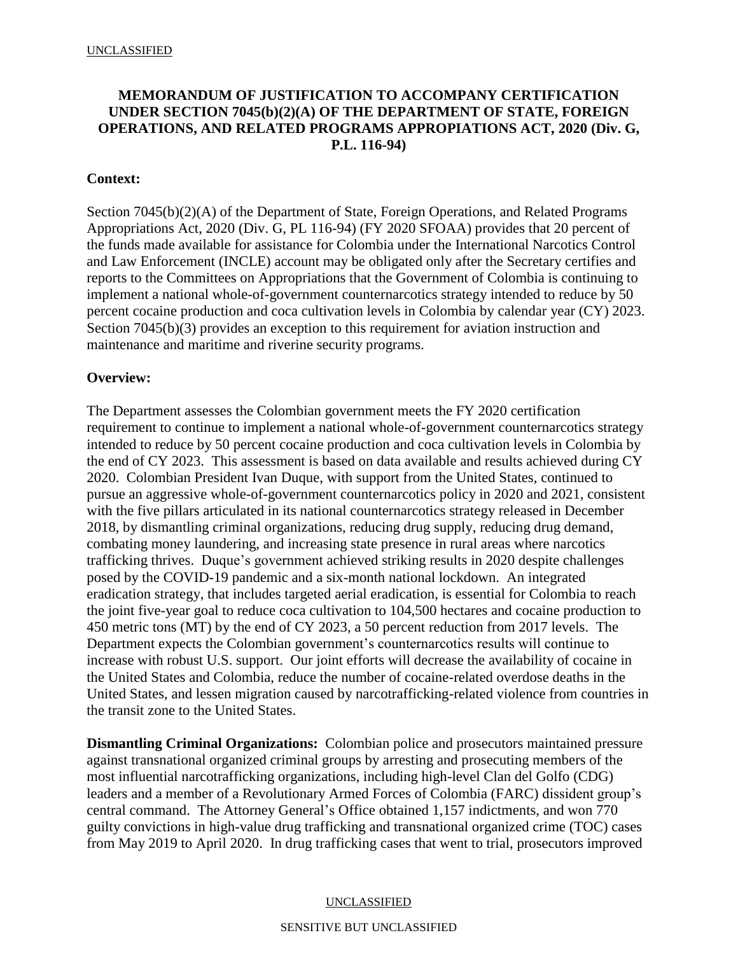# **MEMORANDUM OF JUSTIFICATION TO ACCOMPANY CERTIFICATION UNDER SECTION 7045(b)(2)(A) OF THE DEPARTMENT OF STATE, FOREIGN OPERATIONS, AND RELATED PROGRAMS APPROPIATIONS ACT, 2020 (Div. G, P.L. 116-94)**

# **Context:**

Section 7045(b)(2)(A) of the Department of State, Foreign Operations, and Related Programs Appropriations Act, 2020 (Div. G, PL 116-94) (FY 2020 SFOAA) provides that 20 percent of the funds made available for assistance for Colombia under the International Narcotics Control and Law Enforcement (INCLE) account may be obligated only after the Secretary certifies and reports to the Committees on Appropriations that the Government of Colombia is continuing to implement a national whole-of-government counternarcotics strategy intended to reduce by 50 percent cocaine production and coca cultivation levels in Colombia by calendar year (CY) 2023. Section 7045(b)(3) provides an exception to this requirement for aviation instruction and maintenance and maritime and riverine security programs.

## **Overview:**

The Department assesses the Colombian government meets the FY 2020 certification requirement to continue to implement a national whole-of-government counternarcotics strategy intended to reduce by 50 percent cocaine production and coca cultivation levels in Colombia by the end of CY 2023. This assessment is based on data available and results achieved during CY 2020. Colombian President Ivan Duque, with support from the United States, continued to pursue an aggressive whole-of-government counternarcotics policy in 2020 and 2021, consistent with the five pillars articulated in its national counternarcotics strategy released in December 2018, by dismantling criminal organizations, reducing drug supply, reducing drug demand, combating money laundering, and increasing state presence in rural areas where narcotics trafficking thrives. Duque's government achieved striking results in 2020 despite challenges posed by the COVID-19 pandemic and a six-month national lockdown. An integrated eradication strategy, that includes targeted aerial eradication, is essential for Colombia to reach the joint five-year goal to reduce coca cultivation to 104,500 hectares and cocaine production to 450 metric tons (MT) by the end of CY 2023, a 50 percent reduction from 2017 levels. The Department expects the Colombian government's counternarcotics results will continue to increase with robust U.S. support. Our joint efforts will decrease the availability of cocaine in the United States and Colombia, reduce the number of cocaine-related overdose deaths in the United States, and lessen migration caused by narcotrafficking-related violence from countries in the transit zone to the United States.

**Dismantling Criminal Organizations:** Colombian police and prosecutors maintained pressure against transnational organized criminal groups by arresting and prosecuting members of the most influential narcotrafficking organizations, including high-level Clan del Golfo (CDG) leaders and a member of a Revolutionary Armed Forces of Colombia (FARC) dissident group's central command. The Attorney General's Office obtained 1,157 indictments, and won 770 guilty convictions in high-value drug trafficking and transnational organized crime (TOC) cases from May 2019 to April 2020. In drug trafficking cases that went to trial, prosecutors improved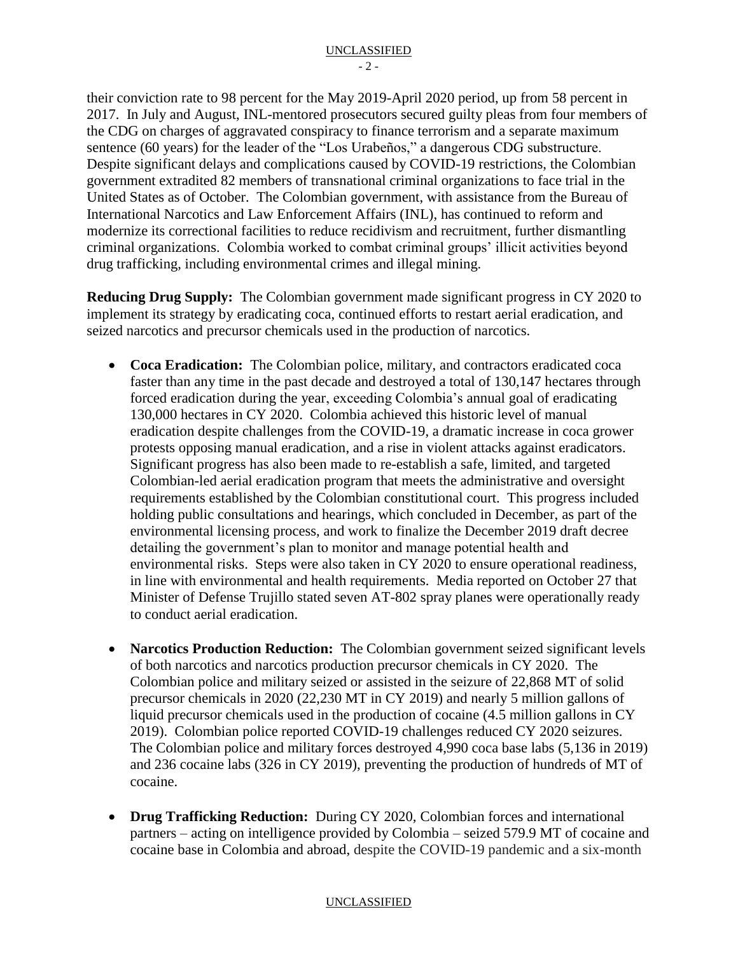their conviction rate to 98 percent for the May 2019-April 2020 period, up from 58 percent in 2017. In July and August, INL-mentored prosecutors secured guilty pleas from four members of the CDG on charges of aggravated conspiracy to finance terrorism and a separate maximum sentence (60 years) for the leader of the "Los Urabeños," a dangerous CDG substructure. Despite significant delays and complications caused by COVID-19 restrictions, the Colombian government extradited 82 members of transnational criminal organizations to face trial in the United States as of October. The Colombian government, with assistance from the Bureau of International Narcotics and Law Enforcement Affairs (INL), has continued to reform and modernize its correctional facilities to reduce recidivism and recruitment, further dismantling criminal organizations. Colombia worked to combat criminal groups' illicit activities beyond drug trafficking, including environmental crimes and illegal mining.

**Reducing Drug Supply:** The Colombian government made significant progress in CY 2020 to implement its strategy by eradicating coca, continued efforts to restart aerial eradication, and seized narcotics and precursor chemicals used in the production of narcotics.

- **Coca Eradication:** The Colombian police, military, and contractors eradicated coca faster than any time in the past decade and destroyed a total of 130,147 hectares through forced eradication during the year, exceeding Colombia's annual goal of eradicating 130,000 hectares in CY 2020. Colombia achieved this historic level of manual eradication despite challenges from the COVID-19, a dramatic increase in coca grower protests opposing manual eradication, and a rise in violent attacks against eradicators. Significant progress has also been made to re-establish a safe, limited, and targeted Colombian-led aerial eradication program that meets the administrative and oversight requirements established by the Colombian constitutional court. This progress included holding public consultations and hearings, which concluded in December, as part of the environmental licensing process, and work to finalize the December 2019 draft decree detailing the government's plan to monitor and manage potential health and environmental risks. Steps were also taken in CY 2020 to ensure operational readiness, in line with environmental and health requirements. Media reported on October 27 that Minister of Defense Trujillo stated seven AT-802 spray planes were operationally ready to conduct aerial eradication.
- **Narcotics Production Reduction:** The Colombian government seized significant levels of both narcotics and narcotics production precursor chemicals in CY 2020. The Colombian police and military seized or assisted in the seizure of 22,868 MT of solid precursor chemicals in 2020 (22,230 MT in CY 2019) and nearly 5 million gallons of liquid precursor chemicals used in the production of cocaine (4.5 million gallons in CY 2019). Colombian police reported COVID-19 challenges reduced CY 2020 seizures. The Colombian police and military forces destroyed 4,990 coca base labs (5,136 in 2019) and 236 cocaine labs (326 in CY 2019), preventing the production of hundreds of MT of cocaine.
- **Drug Trafficking Reduction:** During CY 2020, Colombian forces and international partners – acting on intelligence provided by Colombia – seized 579.9 MT of cocaine and cocaine base in Colombia and abroad, despite the COVID-19 pandemic and a six-month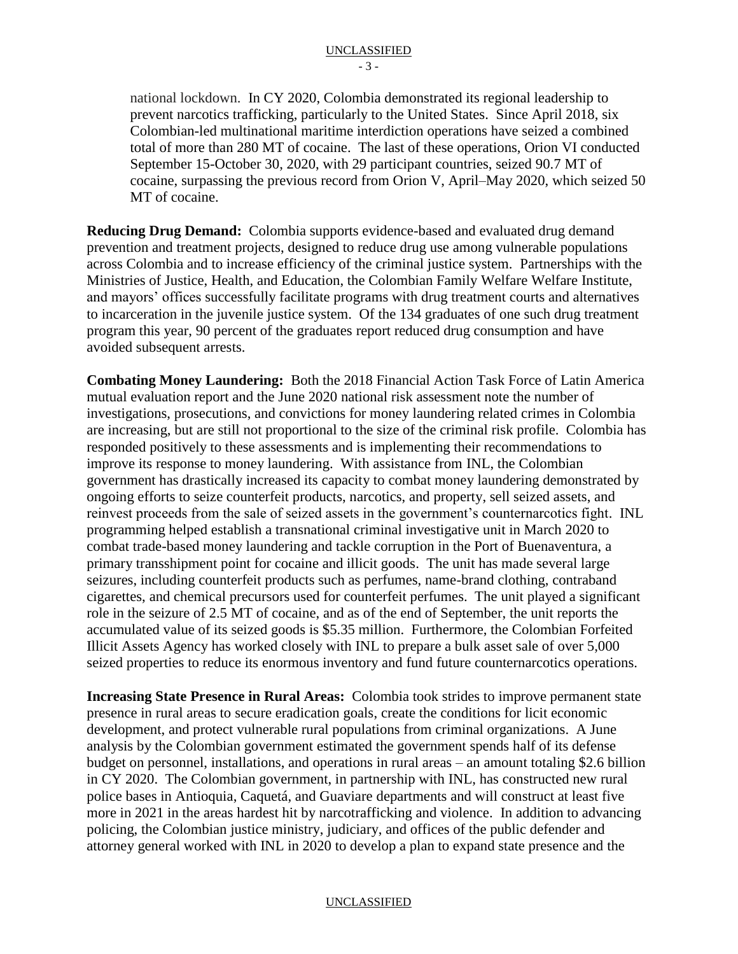national lockdown. In CY 2020, Colombia demonstrated its regional leadership to prevent narcotics trafficking, particularly to the United States. Since April 2018, six Colombian-led multinational maritime interdiction operations have seized a combined total of more than 280 MT of cocaine. The last of these operations, Orion VI conducted September 15-October 30, 2020, with 29 participant countries, seized 90.7 MT of cocaine, surpassing the previous record from Orion V, April–May 2020, which seized 50 MT of cocaine.

**Reducing Drug Demand:** Colombia supports evidence-based and evaluated drug demand prevention and treatment projects, designed to reduce drug use among vulnerable populations across Colombia and to increase efficiency of the criminal justice system. Partnerships with the Ministries of Justice, Health, and Education, the Colombian Family Welfare Welfare Institute, and mayors' offices successfully facilitate programs with drug treatment courts and alternatives to incarceration in the juvenile justice system. Of the 134 graduates of one such drug treatment program this year, 90 percent of the graduates report reduced drug consumption and have avoided subsequent arrests.

**Combating Money Laundering:** Both the 2018 Financial Action Task Force of Latin America mutual evaluation report and the June 2020 national risk assessment note the number of investigations, prosecutions, and convictions for money laundering related crimes in Colombia are increasing, but are still not proportional to the size of the criminal risk profile. Colombia has responded positively to these assessments and is implementing their recommendations to improve its response to money laundering. With assistance from INL, the Colombian government has drastically increased its capacity to combat money laundering demonstrated by ongoing efforts to seize counterfeit products, narcotics, and property, sell seized assets, and reinvest proceeds from the sale of seized assets in the government's counternarcotics fight. INL programming helped establish a transnational criminal investigative unit in March 2020 to combat trade-based money laundering and tackle corruption in the Port of Buenaventura, a primary transshipment point for cocaine and illicit goods. The unit has made several large seizures, including counterfeit products such as perfumes, name-brand clothing, contraband cigarettes, and chemical precursors used for counterfeit perfumes. The unit played a significant role in the seizure of 2.5 MT of cocaine, and as of the end of September, the unit reports the accumulated value of its seized goods is \$5.35 million. Furthermore, the Colombian Forfeited Illicit Assets Agency has worked closely with INL to prepare a bulk asset sale of over 5,000 seized properties to reduce its enormous inventory and fund future counternarcotics operations.

**Increasing State Presence in Rural Areas:** Colombia took strides to improve permanent state presence in rural areas to secure eradication goals, create the conditions for licit economic development, and protect vulnerable rural populations from criminal organizations. A June analysis by the Colombian government estimated the government spends half of its defense budget on personnel, installations, and operations in rural areas – an amount totaling \$2.6 billion in CY 2020. The Colombian government, in partnership with INL, has constructed new rural police bases in Antioquia, Caquetá, and Guaviare departments and will construct at least five more in 2021 in the areas hardest hit by narcotrafficking and violence. In addition to advancing policing, the Colombian justice ministry, judiciary, and offices of the public defender and attorney general worked with INL in 2020 to develop a plan to expand state presence and the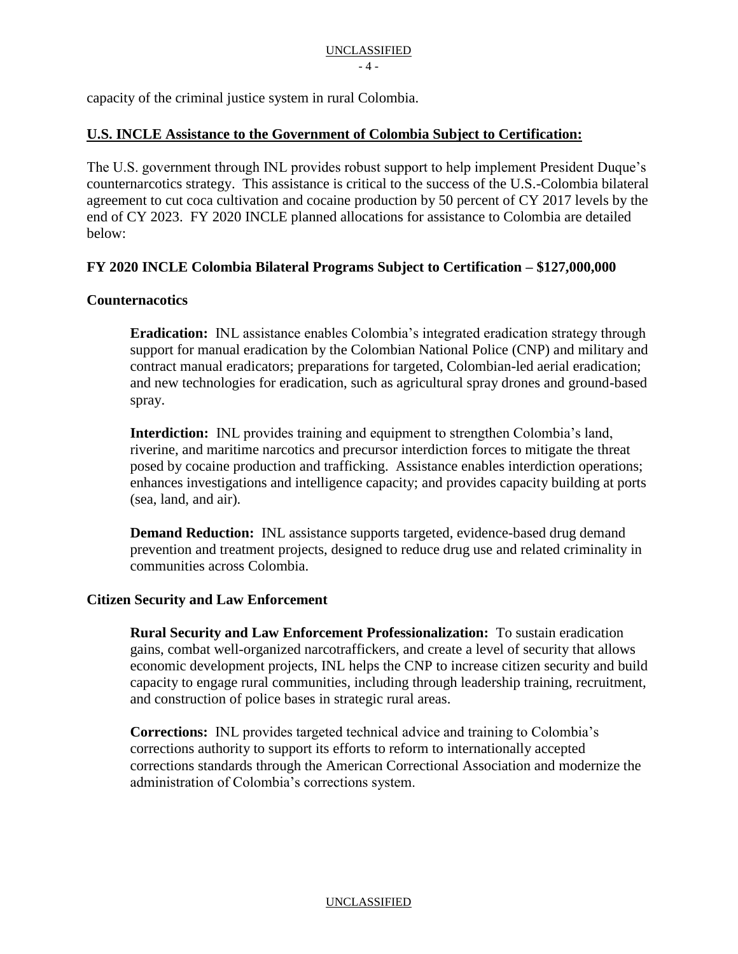capacity of the criminal justice system in rural Colombia.

### **U.S. INCLE Assistance to the Government of Colombia Subject to Certification:**

The U.S. government through INL provides robust support to help implement President Duque's counternarcotics strategy. This assistance is critical to the success of the U.S.-Colombia bilateral agreement to cut coca cultivation and cocaine production by 50 percent of CY 2017 levels by the end of CY 2023. FY 2020 INCLE planned allocations for assistance to Colombia are detailed below:

### **FY 2020 INCLE Colombia Bilateral Programs Subject to Certification – \$127,000,000**

### **Counternacotics**

**Eradication:** INL assistance enables Colombia's integrated eradication strategy through support for manual eradication by the Colombian National Police (CNP) and military and contract manual eradicators; preparations for targeted, Colombian-led aerial eradication; and new technologies for eradication, such as agricultural spray drones and ground-based spray.

**Interdiction:** INL provides training and equipment to strengthen Colombia's land, riverine, and maritime narcotics and precursor interdiction forces to mitigate the threat posed by cocaine production and trafficking. Assistance enables interdiction operations; enhances investigations and intelligence capacity; and provides capacity building at ports (sea, land, and air).

**Demand Reduction:** INL assistance supports targeted, evidence-based drug demand prevention and treatment projects, designed to reduce drug use and related criminality in communities across Colombia.

#### **Citizen Security and Law Enforcement**

**Rural Security and Law Enforcement Professionalization:** To sustain eradication gains, combat well-organized narcotraffickers, and create a level of security that allows economic development projects, INL helps the CNP to increase citizen security and build capacity to engage rural communities, including through leadership training, recruitment, and construction of police bases in strategic rural areas.

**Corrections:** INL provides targeted technical advice and training to Colombia's corrections authority to support its efforts to reform to internationally accepted corrections standards through the American Correctional Association and modernize the administration of Colombia's corrections system.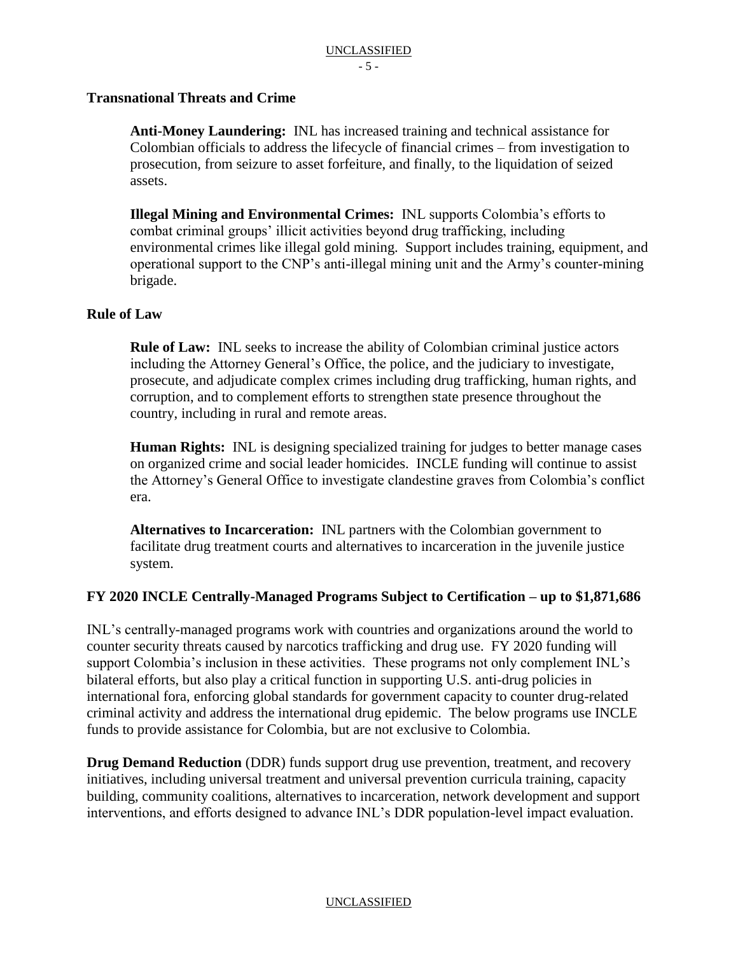### **Transnational Threats and Crime**

**Anti-Money Laundering:** INL has increased training and technical assistance for Colombian officials to address the lifecycle of financial crimes – from investigation to prosecution, from seizure to asset forfeiture, and finally, to the liquidation of seized assets.

**Illegal Mining and Environmental Crimes:** INL supports Colombia's efforts to combat criminal groups' illicit activities beyond drug trafficking, including environmental crimes like illegal gold mining. Support includes training, equipment, and operational support to the CNP's anti-illegal mining unit and the Army's counter-mining brigade.

### **Rule of Law**

**Rule of Law:** INL seeks to increase the ability of Colombian criminal justice actors including the Attorney General's Office, the police, and the judiciary to investigate, prosecute, and adjudicate complex crimes including drug trafficking, human rights, and corruption, and to complement efforts to strengthen state presence throughout the country, including in rural and remote areas.

**Human Rights:** INL is designing specialized training for judges to better manage cases on organized crime and social leader homicides. INCLE funding will continue to assist the Attorney's General Office to investigate clandestine graves from Colombia's conflict era.

**Alternatives to Incarceration:** INL partners with the Colombian government to facilitate drug treatment courts and alternatives to incarceration in the juvenile justice system.

## **FY 2020 INCLE Centrally-Managed Programs Subject to Certification – up to \$1,871,686**

INL's centrally-managed programs work with countries and organizations around the world to counter security threats caused by narcotics trafficking and drug use. FY 2020 funding will support Colombia's inclusion in these activities. These programs not only complement INL's bilateral efforts, but also play a critical function in supporting U.S. anti-drug policies in international fora, enforcing global standards for government capacity to counter drug-related criminal activity and address the international drug epidemic. The below programs use INCLE funds to provide assistance for Colombia, but are not exclusive to Colombia.

**Drug Demand Reduction** (DDR) funds support drug use prevention, treatment, and recovery initiatives, including universal treatment and universal prevention curricula training, capacity building, community coalitions, alternatives to incarceration, network development and support interventions, and efforts designed to advance INL's DDR population-level impact evaluation.